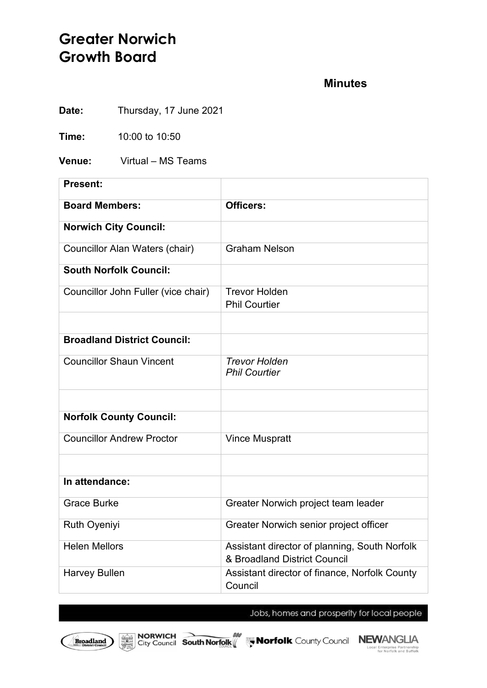# **Greater Norwich Growth Board**

#### **Minutes**

**Date:** Thursday, 17 June 2021

**Time:** 10:00 to 10:50

**Venue:** Virtual – MS Teams

| Present:                            |                                                                               |
|-------------------------------------|-------------------------------------------------------------------------------|
| <b>Board Members:</b>               | Officers:                                                                     |
| <b>Norwich City Council:</b>        |                                                                               |
| Councillor Alan Waters (chair)      | <b>Graham Nelson</b>                                                          |
| <b>South Norfolk Council:</b>       |                                                                               |
| Councillor John Fuller (vice chair) | <b>Trevor Holden</b><br><b>Phil Courtier</b>                                  |
|                                     |                                                                               |
| <b>Broadland District Council:</b>  |                                                                               |
| <b>Councillor Shaun Vincent</b>     | <b>Trevor Holden</b><br><b>Phil Courtier</b>                                  |
|                                     |                                                                               |
| <b>Norfolk County Council:</b>      |                                                                               |
| <b>Councillor Andrew Proctor</b>    | <b>Vince Muspratt</b>                                                         |
|                                     |                                                                               |
| In attendance:                      |                                                                               |
| <b>Grace Burke</b>                  | Greater Norwich project team leader                                           |
| Ruth Oyeniyi                        | Greater Norwich senior project officer                                        |
| <b>Helen Mellors</b>                | Assistant director of planning, South Norfolk<br>& Broadland District Council |
| <b>Harvey Bullen</b>                | Assistant director of finance, Norfolk County<br>Council                      |

Jobs, homes and prosperity for local people

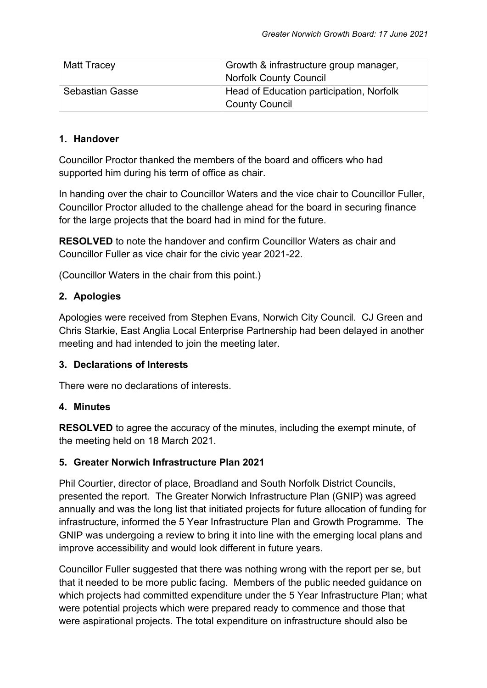| Matt Tracey            | Growth & infrastructure group manager,<br><b>Norfolk County Council</b> |
|------------------------|-------------------------------------------------------------------------|
| <b>Sebastian Gasse</b> | Head of Education participation, Norfolk<br><b>County Council</b>       |

#### **1. Handover**

Councillor Proctor thanked the members of the board and officers who had supported him during his term of office as chair.

In handing over the chair to Councillor Waters and the vice chair to Councillor Fuller, Councillor Proctor alluded to the challenge ahead for the board in securing finance for the large projects that the board had in mind for the future.

**RESOLVED** to note the handover and confirm Councillor Waters as chair and Councillor Fuller as vice chair for the civic year 2021-22.

(Councillor Waters in the chair from this point.)

## **2. Apologies**

Apologies were received from Stephen Evans, Norwich City Council. CJ Green and Chris Starkie, East Anglia Local Enterprise Partnership had been delayed in another meeting and had intended to join the meeting later.

#### **3. Declarations of Interests**

There were no declarations of interests.

#### **4. Minutes**

**RESOLVED** to agree the accuracy of the minutes, including the exempt minute, of the meeting held on 18 March 2021.

#### **5. Greater Norwich Infrastructure Plan 2021**

Phil Courtier, director of place, Broadland and South Norfolk District Councils, presented the report. The Greater Norwich Infrastructure Plan (GNIP) was agreed annually and was the long list that initiated projects for future allocation of funding for infrastructure, informed the 5 Year Infrastructure Plan and Growth Programme. The GNIP was undergoing a review to bring it into line with the emerging local plans and improve accessibility and would look different in future years.

Councillor Fuller suggested that there was nothing wrong with the report per se, but that it needed to be more public facing. Members of the public needed guidance on which projects had committed expenditure under the 5 Year Infrastructure Plan; what were potential projects which were prepared ready to commence and those that were aspirational projects. The total expenditure on infrastructure should also be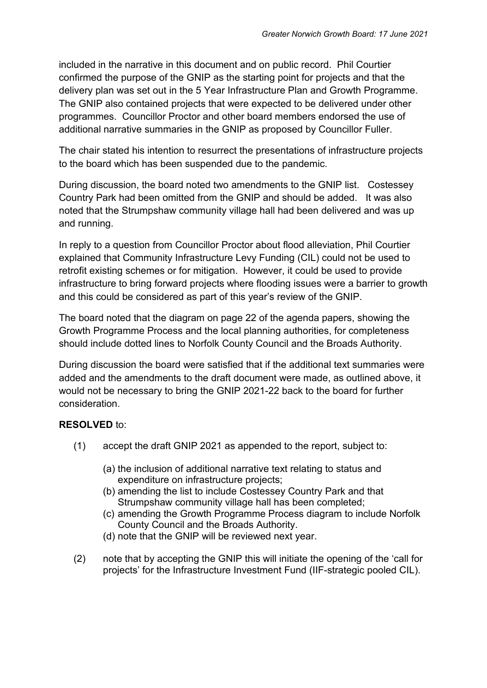included in the narrative in this document and on public record. Phil Courtier confirmed the purpose of the GNIP as the starting point for projects and that the delivery plan was set out in the 5 Year Infrastructure Plan and Growth Programme. The GNIP also contained projects that were expected to be delivered under other programmes. Councillor Proctor and other board members endorsed the use of additional narrative summaries in the GNIP as proposed by Councillor Fuller.

The chair stated his intention to resurrect the presentations of infrastructure projects to the board which has been suspended due to the pandemic.

During discussion, the board noted two amendments to the GNIP list. Costessey Country Park had been omitted from the GNIP and should be added. It was also noted that the Strumpshaw community village hall had been delivered and was up and running.

In reply to a question from Councillor Proctor about flood alleviation, Phil Courtier explained that Community Infrastructure Levy Funding (CIL) could not be used to retrofit existing schemes or for mitigation. However, it could be used to provide infrastructure to bring forward projects where flooding issues were a barrier to growth and this could be considered as part of this year's review of the GNIP.

The board noted that the diagram on page 22 of the agenda papers, showing the Growth Programme Process and the local planning authorities, for completeness should include dotted lines to Norfolk County Council and the Broads Authority.

During discussion the board were satisfied that if the additional text summaries were added and the amendments to the draft document were made, as outlined above, it would not be necessary to bring the GNIP 2021-22 back to the board for further consideration.

#### **RESOLVED** to:

- (1) accept the draft GNIP 2021 as appended to the report, subject to:
	- (a) the inclusion of additional narrative text relating to status and expenditure on infrastructure projects;
	- (b) amending the list to include Costessey Country Park and that Strumpshaw community village hall has been completed;
	- (c) amending the Growth Programme Process diagram to include Norfolk County Council and the Broads Authority.
	- (d) note that the GNIP will be reviewed next year.
- (2) note that by accepting the GNIP this will initiate the opening of the 'call for projects' for the Infrastructure Investment Fund (IIF-strategic pooled CIL).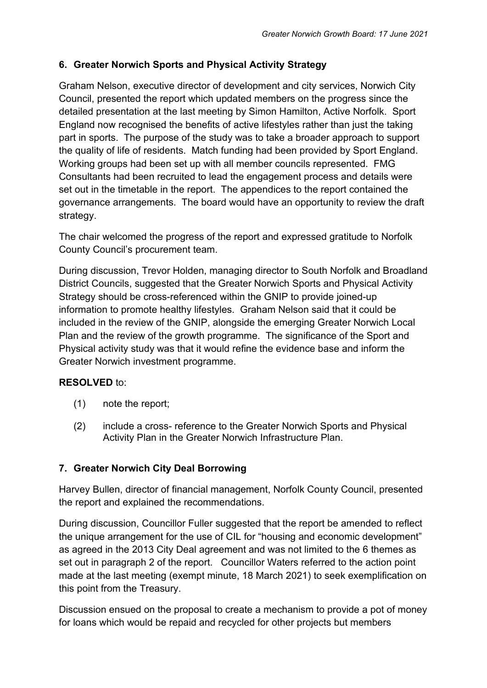## **6. Greater Norwich Sports and Physical Activity Strategy**

Graham Nelson, executive director of development and city services, Norwich City Council, presented the report which updated members on the progress since the detailed presentation at the last meeting by Simon Hamilton, Active Norfolk. Sport England now recognised the benefits of active lifestyles rather than just the taking part in sports. The purpose of the study was to take a broader approach to support the quality of life of residents. Match funding had been provided by Sport England. Working groups had been set up with all member councils represented. FMG Consultants had been recruited to lead the engagement process and details were set out in the timetable in the report. The appendices to the report contained the governance arrangements. The board would have an opportunity to review the draft strategy.

The chair welcomed the progress of the report and expressed gratitude to Norfolk County Council's procurement team.

During discussion, Trevor Holden, managing director to South Norfolk and Broadland District Councils, suggested that the Greater Norwich Sports and Physical Activity Strategy should be cross-referenced within the GNIP to provide joined-up information to promote healthy lifestyles. Graham Nelson said that it could be included in the review of the GNIP, alongside the emerging Greater Norwich Local Plan and the review of the growth programme. The significance of the Sport and Physical activity study was that it would refine the evidence base and inform the Greater Norwich investment programme.

## **RESOLVED** to:

- (1) note the report;
- (2) include a cross- reference to the Greater Norwich Sports and Physical Activity Plan in the Greater Norwich Infrastructure Plan.

## **7. Greater Norwich City Deal Borrowing**

Harvey Bullen, director of financial management, Norfolk County Council, presented the report and explained the recommendations.

During discussion, Councillor Fuller suggested that the report be amended to reflect the unique arrangement for the use of CIL for "housing and economic development" as agreed in the 2013 City Deal agreement and was not limited to the 6 themes as set out in paragraph 2 of the report. Councillor Waters referred to the action point made at the last meeting (exempt minute, 18 March 2021) to seek exemplification on this point from the Treasury.

Discussion ensued on the proposal to create a mechanism to provide a pot of money for loans which would be repaid and recycled for other projects but members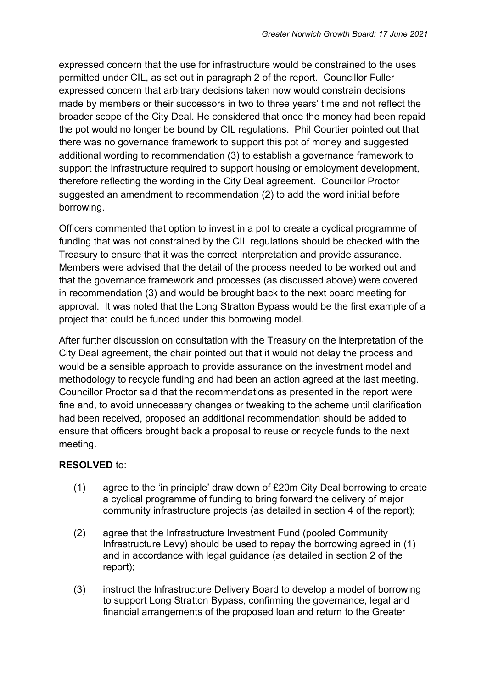expressed concern that the use for infrastructure would be constrained to the uses permitted under CIL, as set out in paragraph 2 of the report. Councillor Fuller expressed concern that arbitrary decisions taken now would constrain decisions made by members or their successors in two to three years' time and not reflect the broader scope of the City Deal. He considered that once the money had been repaid the pot would no longer be bound by CIL regulations. Phil Courtier pointed out that there was no governance framework to support this pot of money and suggested additional wording to recommendation (3) to establish a governance framework to support the infrastructure required to support housing or employment development, therefore reflecting the wording in the City Deal agreement. Councillor Proctor suggested an amendment to recommendation (2) to add the word initial before borrowing.

Officers commented that option to invest in a pot to create a cyclical programme of funding that was not constrained by the CIL regulations should be checked with the Treasury to ensure that it was the correct interpretation and provide assurance. Members were advised that the detail of the process needed to be worked out and that the governance framework and processes (as discussed above) were covered in recommendation (3) and would be brought back to the next board meeting for approval. It was noted that the Long Stratton Bypass would be the first example of a project that could be funded under this borrowing model.

After further discussion on consultation with the Treasury on the interpretation of the City Deal agreement, the chair pointed out that it would not delay the process and would be a sensible approach to provide assurance on the investment model and methodology to recycle funding and had been an action agreed at the last meeting. Councillor Proctor said that the recommendations as presented in the report were fine and, to avoid unnecessary changes or tweaking to the scheme until clarification had been received, proposed an additional recommendation should be added to ensure that officers brought back a proposal to reuse or recycle funds to the next meeting.

#### **RESOLVED** to:

- (1) agree to the 'in principle' draw down of £20m City Deal borrowing to create a cyclical programme of funding to bring forward the delivery of major community infrastructure projects (as detailed in section 4 of the report);
- (2) agree that the Infrastructure Investment Fund (pooled Community Infrastructure Levy) should be used to repay the borrowing agreed in (1) and in accordance with legal guidance (as detailed in section 2 of the report);
- (3) instruct the Infrastructure Delivery Board to develop a model of borrowing to support Long Stratton Bypass, confirming the governance, legal and financial arrangements of the proposed loan and return to the Greater